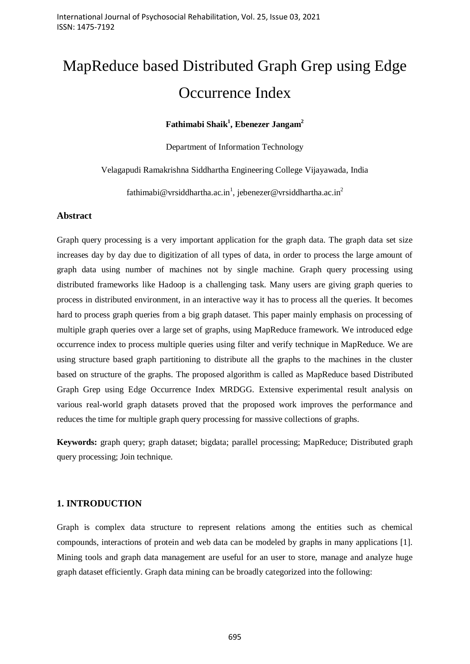# MapReduce based Distributed Graph Grep using Edge Occurrence Index

# **Fathimabi Shaik<sup>1</sup> , Ebenezer Jangam<sup>2</sup>**

Department of Information Technology

Velagapudi Ramakrishna Siddhartha Engineering College Vijayawada, India

fathimabi@vrsiddhartha.ac.in<sup>1</sup>, jebenezer@vrsiddhartha.ac.in<sup>2</sup>

#### **Abstract**

Graph query processing is a very important application for the graph data. The graph data set size increases day by day due to digitization of all types of data, in order to process the large amount of graph data using number of machines not by single machine. Graph query processing using distributed frameworks like Hadoop is a challenging task. Many users are giving graph queries to process in distributed environment, in an interactive way it has to process all the queries. It becomes hard to process graph queries from a big graph dataset. This paper mainly emphasis on processing of multiple graph queries over a large set of graphs, using MapReduce framework. We introduced edge occurrence index to process multiple queries using filter and verify technique in MapReduce. We are using structure based graph partitioning to distribute all the graphs to the machines in the cluster based on structure of the graphs. The proposed algorithm is called as MapReduce based Distributed Graph Grep using Edge Occurrence Index MRDGG. Extensive experimental result analysis on various real-world graph datasets proved that the proposed work improves the performance and reduces the time for multiple graph query processing for massive collections of graphs.

**Keywords:** graph query; graph dataset; bigdata; parallel processing; MapReduce; Distributed graph query processing; Join technique.

#### **1. INTRODUCTION**

Graph is complex data structure to represent relations among the entities such as chemical compounds, interactions of protein and web data can be modeled by graphs in many applications [1]. Mining tools and graph data management are useful for an user to store, manage and analyze huge graph dataset efficiently. Graph data mining can be broadly categorized into the following: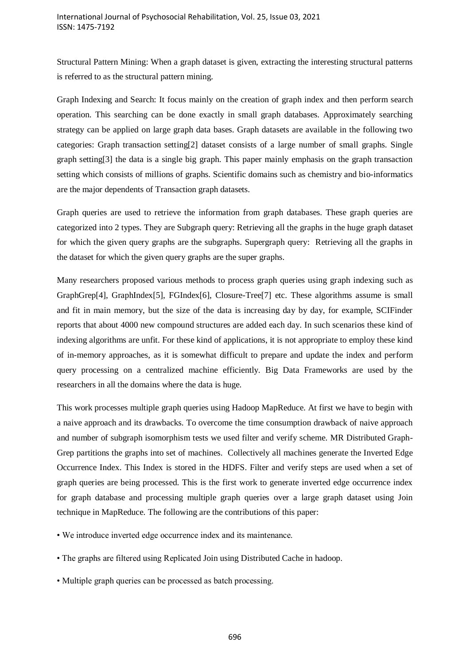Structural Pattern Mining: When a graph dataset is given, extracting the interesting structural patterns is referred to as the structural pattern mining.

Graph Indexing and Search: It focus mainly on the creation of graph index and then perform search operation. This searching can be done exactly in small graph databases. Approximately searching strategy can be applied on large graph data bases. Graph datasets are available in the following two categories: Graph transaction setting[2] dataset consists of a large number of small graphs. Single graph setting[3] the data is a single big graph. This paper mainly emphasis on the graph transaction setting which consists of millions of graphs. Scientific domains such as chemistry and bio-informatics are the major dependents of Transaction graph datasets.

Graph queries are used to retrieve the information from graph databases. These graph queries are categorized into 2 types. They are Subgraph query: Retrieving all the graphs in the huge graph dataset for which the given query graphs are the subgraphs. Supergraph query: Retrieving all the graphs in the dataset for which the given query graphs are the super graphs.

Many researchers proposed various methods to process graph queries using graph indexing such as GraphGrep[4], GraphIndex[5], FGIndex[6], Closure-Tree[7] etc. These algorithms assume is small and fit in main memory, but the size of the data is increasing day by day, for example, SCIFinder reports that about 4000 new compound structures are added each day. In such scenarios these kind of indexing algorithms are unfit. For these kind of applications, it is not appropriate to employ these kind of in-memory approaches, as it is somewhat difficult to prepare and update the index and perform query processing on a centralized machine efficiently. Big Data Frameworks are used by the researchers in all the domains where the data is huge.

This work processes multiple graph queries using Hadoop MapReduce. At first we have to begin with a naive approach and its drawbacks. To overcome the time consumption drawback of naive approach and number of subgraph isomorphism tests we used filter and verify scheme. MR Distributed Graph-Grep partitions the graphs into set of machines. Collectively all machines generate the Inverted Edge Occurrence Index. This Index is stored in the HDFS. Filter and verify steps are used when a set of graph queries are being processed. This is the first work to generate inverted edge occurrence index for graph database and processing multiple graph queries over a large graph dataset using Join technique in MapReduce. The following are the contributions of this paper:

- We introduce inverted edge occurrence index and its maintenance.
- The graphs are filtered using Replicated Join using Distributed Cache in hadoop.
- Multiple graph queries can be processed as batch processing.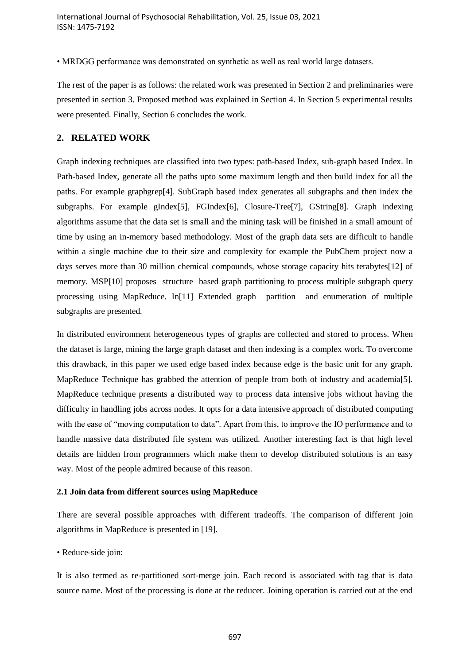• MRDGG performance was demonstrated on synthetic as well as real world large datasets.

The rest of the paper is as follows: the related work was presented in Section 2 and preliminaries were presented in section 3. Proposed method was explained in Section 4. In Section 5 experimental results were presented. Finally, Section 6 concludes the work.

#### **2. RELATED WORK**

Graph indexing techniques are classified into two types: path-based Index, sub-graph based Index. In Path-based Index, generate all the paths upto some maximum length and then build index for all the paths. For example graphgrep[4]. SubGraph based index generates all subgraphs and then index the subgraphs. For example gIndex[5], FGIndex[6], Closure-Tree[7], GString[8]. Graph indexing algorithms assume that the data set is small and the mining task will be finished in a small amount of time by using an in-memory based methodology. Most of the graph data sets are difficult to handle within a single machine due to their size and complexity for example the PubChem project now a days serves more than 30 million chemical compounds, whose storage capacity hits terabytes[12] of memory. MSP[10] proposes structure based graph partitioning to process multiple subgraph query processing using MapReduce. In[11] Extended graph partition and enumeration of multiple subgraphs are presented.

In distributed environment heterogeneous types of graphs are collected and stored to process. When the dataset is large, mining the large graph dataset and then indexing is a complex work. To overcome this drawback, in this paper we used edge based index because edge is the basic unit for any graph. MapReduce Technique has grabbed the attention of people from both of industry and academia[5]. MapReduce technique presents a distributed way to process data intensive jobs without having the difficulty in handling jobs across nodes. It opts for a data intensive approach of distributed computing with the ease of "moving computation to data". Apart from this, to improve the IO performance and to handle massive data distributed file system was utilized. Another interesting fact is that high level details are hidden from programmers which make them to develop distributed solutions is an easy way. Most of the people admired because of this reason.

#### **2.1 Join data from different sources using MapReduce**

There are several possible approaches with different tradeoffs. The comparison of different join algorithms in MapReduce is presented in [19].

#### • Reduce-side join:

It is also termed as re-partitioned sort-merge join. Each record is associated with tag that is data source name. Most of the processing is done at the reducer. Joining operation is carried out at the end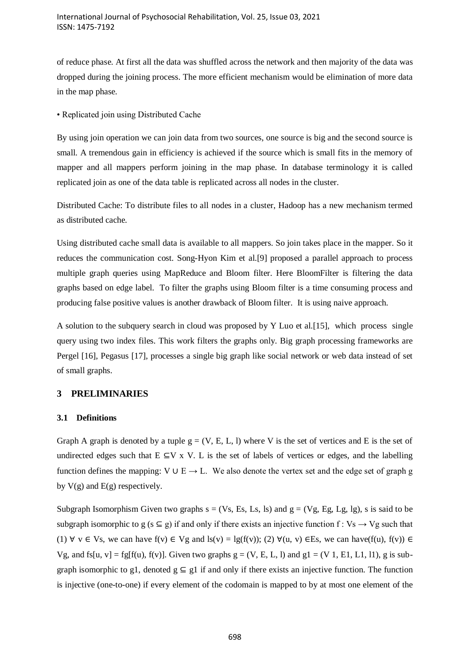of reduce phase. At first all the data was shuffled across the network and then majority of the data was dropped during the joining process. The more efficient mechanism would be elimination of more data in the map phase.

• Replicated join using Distributed Cache

By using join operation we can join data from two sources, one source is big and the second source is small. A tremendous gain in efficiency is achieved if the source which is small fits in the memory of mapper and all mappers perform joining in the map phase. In database terminology it is called replicated join as one of the data table is replicated across all nodes in the cluster.

Distributed Cache: To distribute files to all nodes in a cluster, Hadoop has a new mechanism termed as distributed cache.

Using distributed cache small data is available to all mappers. So join takes place in the mapper. So it reduces the communication cost. Song-Hyon Kim et al.[9] proposed a parallel approach to process multiple graph queries using MapReduce and Bloom filter. Here BloomFilter is filtering the data graphs based on edge label. To filter the graphs using Bloom filter is a time consuming process and producing false positive values is another drawback of Bloom filter. It is using naive approach.

A solution to the subquery search in cloud was proposed by Y Luo et al.[15], which process single query using two index files. This work filters the graphs only. Big graph processing frameworks are Pergel [16], Pegasus [17], processes a single big graph like social network or web data instead of set of small graphs.

# **3 PRELIMINARIES**

# **3.1 Definitions**

Graph A graph is denoted by a tuple  $g = (V, E, L, l)$  where V is the set of vertices and E is the set of undirected edges such that  $E \subseteq V \times V$ . L is the set of labels of vertices or edges, and the labelling function defines the mapping: V ∪ E  $\rightarrow$  L. We also denote the vertex set and the edge set of graph g by  $V(g)$  and  $E(g)$  respectively.

Subgraph Isomorphism Given two graphs  $s = (Vs, Es, Ls, ls)$  and  $g = (Vg, Eg, Lg, Ig)$ , s is said to be subgraph isomorphic to g (s  $\subseteq$  g) if and only if there exists an injective function f : Vs  $\rightarrow$  Vg such that (1)  $\forall$  v  $\in$  Vs, we can have  $f(v) \in Vg$  and  $ls(v) = lg(f(v));$  (2)  $\forall (u, v) \in Es$ , we can have  $(f(u), f(v)) \in S$ Vg, and fs[u, v] = fg[f(u), f(v)]. Given two graphs  $g = (V, E, L, l)$  and  $g1 = (V 1, E1, L1, l1)$ , g is subgraph isomorphic to g1, denoted  $g \subseteq g1$  if and only if there exists an injective function. The function is injective (one-to-one) if every element of the codomain is mapped to by at most one element of the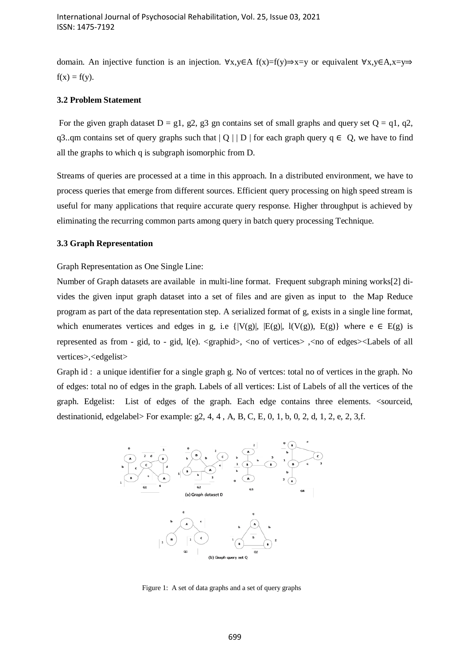domain. An injective function is an injection. ∀x,y∈A f(x)=f(y)⇒x=y or equivalent ∀x,y∈A,x=y⇒  $f(x) = f(y)$ .

#### **3.2 Problem Statement**

For the given graph dataset  $D = g1$ ,  $g2$ ,  $g3$  gn contains set of small graphs and query set  $Q = q1$ ,  $q2$ , q3..qm contains set of query graphs such that  $|Q|$  | D | for each graph query  $q \in Q$ , we have to find all the graphs to which q is subgraph isomorphic from D.

Streams of queries are processed at a time in this approach. In a distributed environment, we have to process queries that emerge from different sources. Efficient query processing on high speed stream is useful for many applications that require accurate query response. Higher throughput is achieved by eliminating the recurring common parts among query in batch query processing Technique.

#### **3.3 Graph Representation**

Graph Representation as One Single Line:

Number of Graph datasets are available in multi-line format. Frequent subgraph mining works[2] divides the given input graph dataset into a set of files and are given as input to the Map Reduce program as part of the data representation step. A serialized format of g, exists in a single line format, which enumerates vertices and edges in g, i.e  $\{ |V(g)|, |E(g)|, 1(V(g)), E(g) \}$  where  $e \in E(g)$  is represented as from - gid, to - gid, l(e). <graphid>, <no of vertices> ,<no of edges><Labels of all vertices>,<edgelist>

Graph id : a unique identifier for a single graph g. No of vertces: total no of vertices in the graph. No of edges: total no of edges in the graph. Labels of all vertices: List of Labels of all the vertices of the graph. Edgelist: List of edges of the graph. Each edge contains three elements. <sourceid, destinationid, edgelabel> For example:  $g2$ , 4, 4, A, B, C, E, 0, 1, b, 0, 2, d, 1, 2, e, 2, 3, f.



Figure 1: A set of data graphs and a set of query graphs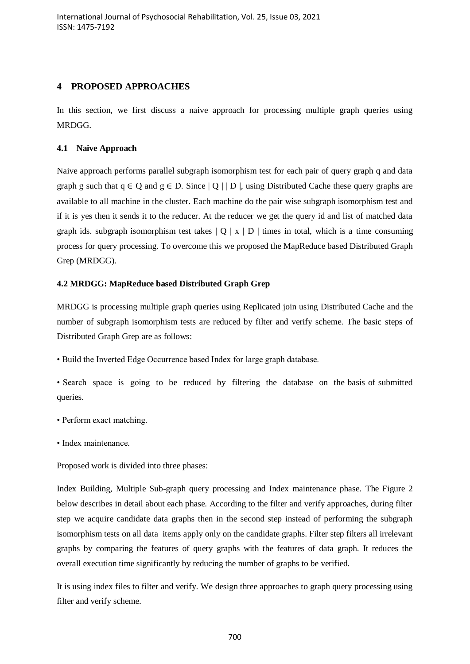# **4 PROPOSED APPROACHES**

In this section, we first discuss a naive approach for processing multiple graph queries using MRDGG.

# **4.1 Naive Approach**

Naive approach performs parallel subgraph isomorphism test for each pair of query graph q and data graph g such that  $q \in O$  and  $q \in D$ . Since  $|O|$  | D |, using Distributed Cache these query graphs are available to all machine in the cluster. Each machine do the pair wise subgraph isomorphism test and if it is yes then it sends it to the reducer. At the reducer we get the query id and list of matched data graph ids. subgraph isomorphism test takes  $|0| \times |D|$  times in total, which is a time consuming process for query processing. To overcome this we proposed the MapReduce based Distributed Graph Grep (MRDGG).

# **4.2 MRDGG: MapReduce based Distributed Graph Grep**

MRDGG is processing multiple graph queries using Replicated join using Distributed Cache and the number of subgraph isomorphism tests are reduced by filter and verify scheme. The basic steps of Distributed Graph Grep are as follows:

- Build the Inverted Edge Occurrence based Index for large graph database.
- Search space is going to be reduced by filtering the database on the basis of submitted queries.
- Perform exact matching.
- Index maintenance.

Proposed work is divided into three phases:

Index Building, Multiple Sub-graph query processing and Index maintenance phase. The Figure 2 below describes in detail about each phase. According to the filter and verify approaches, during filter step we acquire candidate data graphs then in the second step instead of performing the subgraph isomorphism tests on all data items apply only on the candidate graphs. Filter step filters all irrelevant graphs by comparing the features of query graphs with the features of data graph. It reduces the overall execution time significantly by reducing the number of graphs to be verified.

It is using index files to filter and verify. We design three approaches to graph query processing using filter and verify scheme.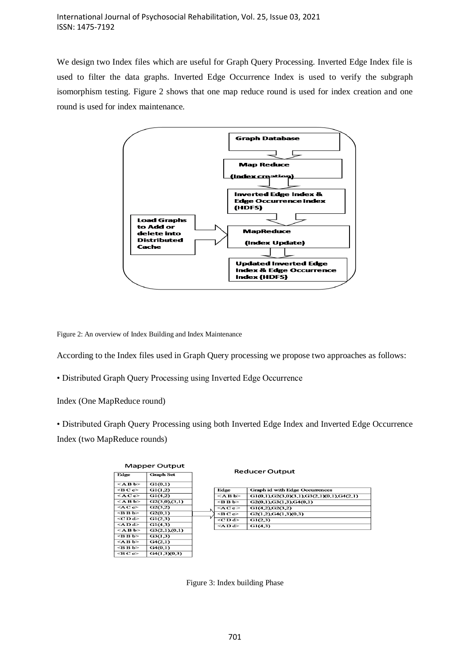We design two Index files which are useful for Graph Query Processing. Inverted Edge Index file is used to filter the data graphs. Inverted Edge Occurrence Index is used to verify the subgraph isomorphism testing. Figure 2 shows that one map reduce round is used for index creation and one round is used for index maintenance.



Figure 2: An overview of Index Building and Index Maintenance

According to the Index files used in Graph Query processing we propose two approaches as follows:

• Distributed Graph Query Processing using Inverted Edge Occurrence

Index (One MapReduce round)

• Distributed Graph Query Processing using both Inverted Edge Index and Inverted Edge Occurrence Index (two MapReduce rounds)

| <b>Mapper Output</b>        |               |  | <b>Reducer Output</b>       |                                                |  |  |  |
|-----------------------------|---------------|--|-----------------------------|------------------------------------------------|--|--|--|
| Edge<br><b>Graph Set</b>    |               |  |                             |                                                |  |  |  |
| $<$ ABb>                    | G1(0,1)       |  |                             |                                                |  |  |  |
| $\triangleleft$ BC $\infty$ | GI(1,2)       |  | Edge                        | <b>Graph id with Edge Occurrences</b>          |  |  |  |
| $\leq$ AC $c$ >             | G1(4,2)       |  | $<$ ABb>                    | $G1(0,1), G2(3,0)(3,1), G3(2,1)(0,1), G4(2,1)$ |  |  |  |
| $<$ ABb>                    | G2(3,0),(3,1) |  | <b b=""></b>                | G2(0,1), G3(1,3), G4(0,1)                      |  |  |  |
| $\leq$ AC $\infty$          | G2(3.2)       |  | $\leq$ AC c $>$             | G1(4,2), G2(3,2)                               |  |  |  |
| $\langle$ BBb>              | G2(0,1)       |  | $\triangleleft$ BC $\infty$ | G2(1,2), G4(1,3)(0,3)                          |  |  |  |
| $<$ CD d $>$                | G1(2,3)       |  | <c d=""></c>                | G1(2,3)                                        |  |  |  |
| $\leq$ AD d $\geq$          | G1(4,3)       |  | $\langle$ AD d>             | G1(4,3)                                        |  |  |  |
| $<$ ABb>                    | G3(2,1),(0,1) |  |                             |                                                |  |  |  |
| $\langle$ BBb>              | G3(1,3)       |  |                             |                                                |  |  |  |
| $<$ ABb>                    | G4(2,1)       |  |                             |                                                |  |  |  |
| $\leq$ B B b>               | G4(0,1)       |  |                             |                                                |  |  |  |
| $\triangleleft$ BCc>        | G4(1,3)(0,3)  |  |                             |                                                |  |  |  |

Figure 3: Index building Phase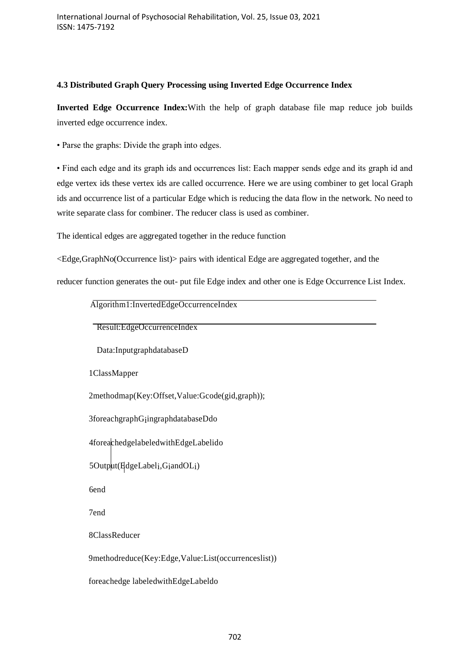# **4.3 Distributed Graph Query Processing using Inverted Edge Occurrence Index**

**Inverted Edge Occurrence Index:**With the help of graph database file map reduce job builds inverted edge occurrence index.

• Parse the graphs: Divide the graph into edges.

• Find each edge and its graph ids and occurrences list: Each mapper sends edge and its graph id and edge vertex ids these vertex ids are called occurrence. Here we are using combiner to get local Graph ids and occurrence list of a particular Edge which is reducing the data flow in the network. No need to write separate class for combiner. The reducer class is used as combiner.

The identical edges are aggregated together in the reduce function

<Edge,GraphNo(Occurrence list)> pairs with identical Edge are aggregated together, and the

reducer function generates the out- put file Edge index and other one is Edge Occurrence List Index.

Algorithm1:InvertedEdgeOccurrenceIndex

Result:EdgeOccurrenceIndex

Data:InputgraphdatabaseD

1ClassMapper

2methodmap(Key:Offset,Value:Gcode(gid,graph));

3foreachgraphGiingraphdatabaseDdo

4foreachedgelabeledwithEdgeLabelido

5Output(EdgeLabeli,GiandOLi)

6end

7end

8ClassReducer

9methodreduce(Key:Edge,Value:List(occurrenceslist))

foreachedge labeledwithEdgeLabeldo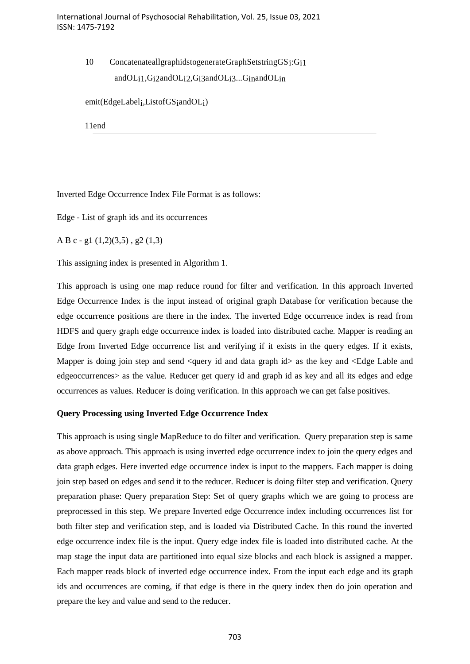10 ConcatenateallgraphidstogenerateGraphSetstringGS<sub>1</sub>:G<sub>11</sub> andOLi1,Gi2andOLi2,Gi3andOLi3...GinandOLin

emit(EdgeLabeli,ListofGSiandOLi)

11end

Inverted Edge Occurrence Index File Format is as follows:

Edge - List of graph ids and its occurrences

A B c - g1 (1,2)(3,5) , g2 (1,3)

This assigning index is presented in Algorithm 1.

This approach is using one map reduce round for filter and verification. In this approach Inverted Edge Occurrence Index is the input instead of original graph Database for verification because the edge occurrence positions are there in the index. The inverted Edge occurrence index is read from HDFS and query graph edge occurrence index is loaded into distributed cache. Mapper is reading an Edge from Inverted Edge occurrence list and verifying if it exists in the query edges. If it exists, Mapper is doing join step and send  $\langle$  auery id and data graph id $\rangle$  as the key and  $\langle$  Edge Lable and edgeoccurrences> as the value. Reducer get query id and graph id as key and all its edges and edge occurrences as values. Reducer is doing verification. In this approach we can get false positives.

#### **Query Processing using Inverted Edge Occurrence Index**

This approach is using single MapReduce to do filter and verification. Query preparation step is same as above approach. This approach is using inverted edge occurrence index to join the query edges and data graph edges. Here inverted edge occurrence index is input to the mappers. Each mapper is doing join step based on edges and send it to the reducer. Reducer is doing filter step and verification. Query preparation phase: Query preparation Step: Set of query graphs which we are going to process are preprocessed in this step. We prepare Inverted edge Occurrence index including occurrences list for both filter step and verification step, and is loaded via Distributed Cache. In this round the inverted edge occurrence index file is the input. Query edge index file is loaded into distributed cache. At the map stage the input data are partitioned into equal size blocks and each block is assigned a mapper. Each mapper reads block of inverted edge occurrence index. From the input each edge and its graph ids and occurrences are coming, if that edge is there in the query index then do join operation and prepare the key and value and send to the reducer.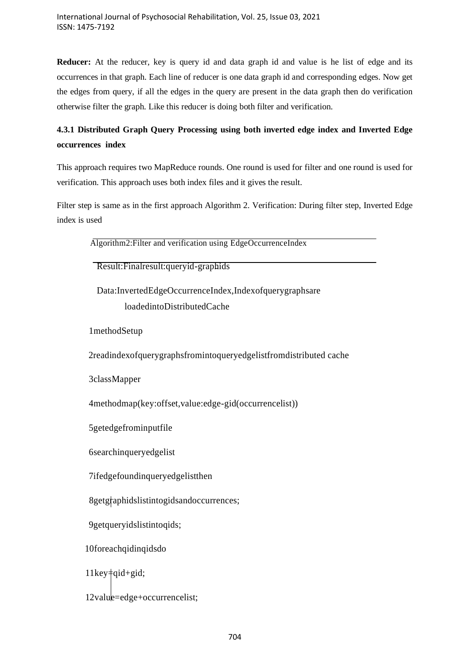**Reducer:** At the reducer, key is query id and data graph id and value is he list of edge and its occurrences in that graph. Each line of reducer is one data graph id and corresponding edges. Now get the edges from query, if all the edges in the query are present in the data graph then do verification otherwise filter the graph. Like this reducer is doing both filter and verification.

# **4.3.1 Distributed Graph Query Processing using both inverted edge index and Inverted Edge occurrences index**

This approach requires two MapReduce rounds. One round is used for filter and one round is used for verification. This approach uses both index files and it gives the result.

Filter step is same as in the first approach Algorithm 2. Verification: During filter step, Inverted Edge index is used

| Algorithm2: Filter and verification using EdgeOccurrenceIndex     |
|-------------------------------------------------------------------|
| Result: Finalresult: queryid-graphids                             |
| Data:InvertedEdgeOccurrenceIndex,Indexofquerygraphsare            |
| loadedintoDistributedCache                                        |
| 1methodSetup                                                      |
| 2readindexofquerygraphsfromintoqueryedgelistfromdistributed cache |
| 3classMapper                                                      |
| 4methodmap(key:offset, value:edge-gid(occurrencelist))            |
| 5getedgefrominputfile                                             |
| 6searchinqueryedgelist                                            |
| 7ifedgefoundinqueryedgelistthen                                   |
| 8getgraphidslistintogidsandoccurrences;                           |
| 9getqueryidslistintoqids;                                         |
| 10foreachqidinqidsdo                                              |
| $11 \text{key}$ = qid + gid;                                      |
| 12value=edge+occurrencelist;                                      |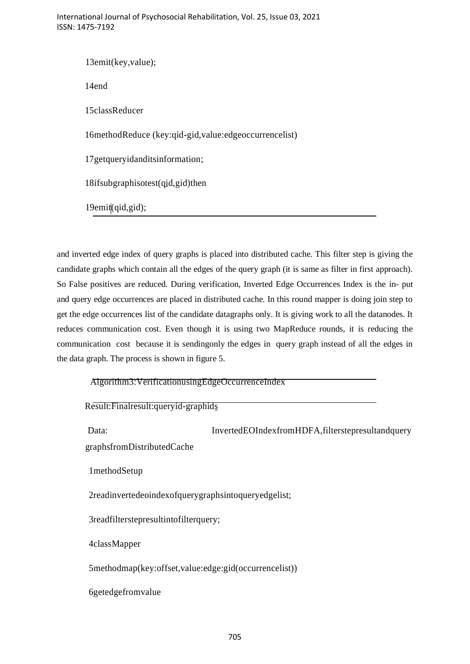International Journal of Psychosocial Rehabilitation, Vol. 25, Issue 03, 2021 ISSN: 1475-7192

13emit(key,value); 14end 15classReducer 16methodReduce (key:qid-gid,value:edgeoccurrencelist) 17getqueryidanditsinformation; 18ifsubgraphisotest(qid,gid)then 19emit(qid,gid);

and inverted edge index of query graphs is placed into distributed cache. This filter step is giving the candidate graphs which contain all the edges of the query graph (it is same as filter in first approach). So False positives are reduced. During verification, Inverted Edge Occurrences Index is the in- put and query edge occurrences are placed in distributed cache. In this round mapper is doing join step to get the edge occurrences list of the candidate datagraphs only. It is giving work to all the datanodes. It reduces communication cost. Even though it is using two MapReduce rounds, it is reducing the communication cost because it is sendingonly the edges in query graph instead of all the edges in the data graph. The process is shown in figure 5.

|  |  |  |  |  | Algorithm3: VerificationusingEdgeOccurrenceIndex |  |
|--|--|--|--|--|--------------------------------------------------|--|

| Result: Finalresult: queryid-graphids                  |                                                   |  |  |  |
|--------------------------------------------------------|---------------------------------------------------|--|--|--|
| Data:<br>graphsfromDistributedCache                    | InvertedEOIndexfromHDFA, filterstepresultandquery |  |  |  |
| 1methodSetup                                           |                                                   |  |  |  |
| 2readinvertedeoindexofquerygraphsintoqueryedgelist;    |                                                   |  |  |  |
|                                                        | 3readfilterstepresultintofilterquery;             |  |  |  |
| 4classMapper                                           |                                                   |  |  |  |
| 5methodmap(key:offset, value:edge:gid(occurrencelist)) |                                                   |  |  |  |
| <b>6getedgefromvalue</b>                               |                                                   |  |  |  |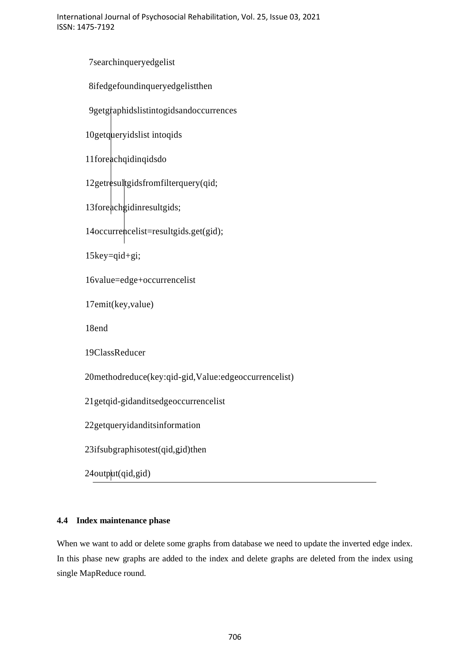7searchinqueryedgelist 8ifedgefoundinqueryedgelistthen 9getgraphidslistintogidsandoccurrences 10getqueryidslist intoqids 11foreachqidinqidsdo 12getresultgidsfromfilterquery(qid; 13foreachgidinresultgids; 14occurrencelist=resultgids.get(gid); 15key=qid+gi; 16value=edge+occurrencelist 17emit(key,value) 18end 19ClassReducer 20methodreduce(key:qid-gid,Value:edgeoccurrencelist) 21getqid-gidanditsedgeoccurrencelist 22getqueryidanditsinformation 23ifsubgraphisotest(qid,gid)then 24output(qid,gid)

# **4.4 Index maintenance phase**

When we want to add or delete some graphs from database we need to update the inverted edge index. In this phase new graphs are added to the index and delete graphs are deleted from the index using single MapReduce round.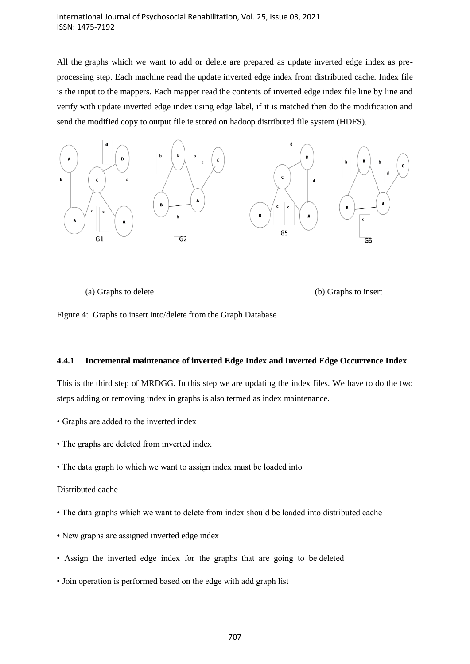#### International Journal of Psychosocial Rehabilitation, Vol. 25, Issue 03, 2021 ISSN: 1475-7192

All the graphs which we want to add or delete are prepared as update inverted edge index as preprocessing step. Each machine read the update inverted edge index from distributed cache. Index file is the input to the mappers. Each mapper read the contents of inverted edge index file line by line and verify with update inverted edge index using edge label, if it is matched then do the modification and send the modified copy to output file ie stored on hadoop distributed file system (HDFS).



(a) Graphs to delete (b) Graphs to insert

Figure 4: Graphs to insert into/delete from the Graph Database

#### **4.4.1 Incremental maintenance of inverted Edge Index and Inverted Edge Occurrence Index**

This is the third step of MRDGG. In this step we are updating the index files. We have to do the two steps adding or removing index in graphs is also termed as index maintenance.

- Graphs are added to the inverted index
- The graphs are deleted from inverted index
- The data graph to which we want to assign index must be loaded into

#### Distributed cache

- The data graphs which we want to delete from index should be loaded into distributed cache
- New graphs are assigned inverted edge index
- Assign the inverted edge index for the graphs that are going to be deleted
- Join operation is performed based on the edge with add graph list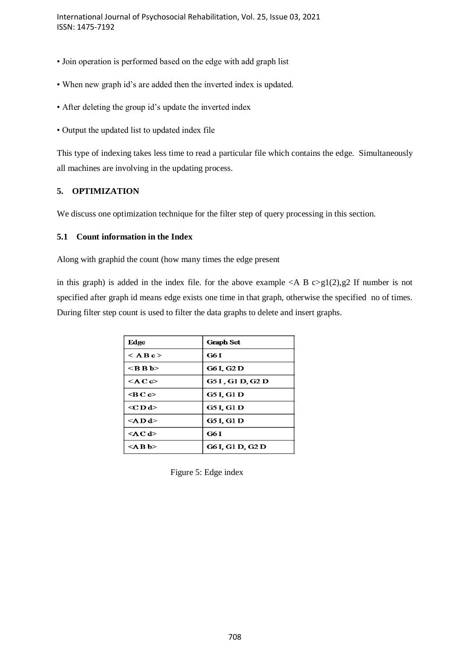- Join operation is performed based on the edge with add graph list
- When new graph id's are added then the inverted index is updated.
- After deleting the group id's update the inverted index
- Output the updated list to updated index file

This type of indexing takes less time to read a particular file which contains the edge. Simultaneously all machines are involving in the updating process.

# **5. OPTIMIZATION**

We discuss one optimization technique for the filter step of query processing in this section.

#### **5.1 Count information in the Index**

Along with graphid the count (how many times the edge present

in this graph) is added in the index file. for the above example  $\langle A, B \rangle \geq g(2)$ , g2 If number is not specified after graph id means edge exists one time in that graph, otherwise the specified no of times. During filter step count is used to filter the data graphs to delete and insert graphs.

| Edge                 | <b>Graph Set</b>  |
|----------------------|-------------------|
| $<$ A B c $>$        | G6 I              |
| <b b=""></b>         | G6 I, G2 D        |
| $\leq$ A C $\approx$ | G5 I , G1 D, G2 D |
| ⊲B C c>              | <b>G5 I, G1 D</b> |
| <c d=""></c>         | G5 I, G1 D        |
| <a d=""></a>         | G5 I, G1 D        |
| <a c="" d=""></a>    | G6 I              |
| <a b=""></a>         | G6 I, G1 D, G2 D  |

Figure 5: Edge index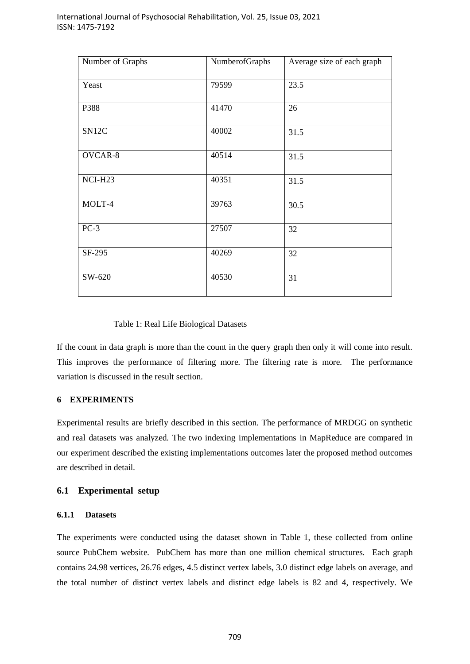| Number of Graphs | NumberofGraphs | Average size of each graph |
|------------------|----------------|----------------------------|
| Yeast            | 79599          | 23.5                       |
| P388             | 41470          | 26                         |
| SN12C            | 40002          | 31.5                       |
| OVCAR-8          | 40514          | 31.5                       |
| NCI-H23          | 40351          | 31.5                       |
| MOLT-4           | 39763          | 30.5                       |
| $PC-3$           | 27507          | 32                         |
| SF-295           | 40269          | 32                         |
| SW-620           | 40530          | 31                         |

#### Table 1: Real Life Biological Datasets

If the count in data graph is more than the count in the query graph then only it will come into result. This improves the performance of filtering more. The filtering rate is more. The performance variation is discussed in the result section.

#### **6 EXPERIMENTS**

Experimental results are briefly described in this section. The performance of MRDGG on synthetic and real datasets was analyzed. The two indexing implementations in MapReduce are compared in our experiment described the existing implementations outcomes later the proposed method outcomes are described in detail.

#### **6.1 Experimental setup**

#### **6.1.1 Datasets**

The experiments were conducted using the dataset shown in Table 1, these collected from online source PubChem website. PubChem has more than one million chemical structures. Each graph contains 24.98 vertices, 26.76 edges, 4.5 distinct vertex labels, 3.0 distinct edge labels on average, and the total number of distinct vertex labels and distinct edge labels is 82 and 4, respectively. We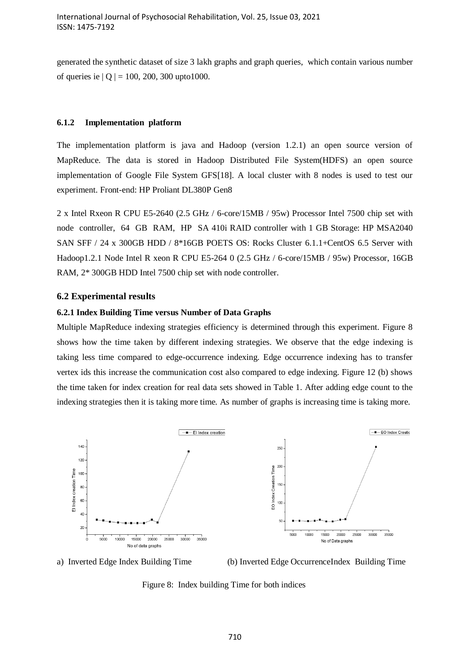generated the synthetic dataset of size 3 lakh graphs and graph queries, which contain various number of queries ie  $|Q| = 100$ , 200, 300 upto1000.

#### **6.1.2 Implementation platform**

The implementation platform is java and Hadoop (version 1.2.1) an open source version of MapReduce. The data is stored in Hadoop Distributed File System(HDFS) an open source implementation of Google File System GFS[18]. A local cluster with 8 nodes is used to test our experiment. Front-end: HP Proliant DL380P Gen8

2 x Intel Rxeon R CPU E5-2640 (2.5 GHz / 6-core/15MB / 95w) Processor Intel 7500 chip set with node controller, 64 GB RAM, HP SA 410i RAID controller with 1 GB Storage: HP MSA2040 SAN SFF / 24 x 300GB HDD / 8\*16GB POETS OS: Rocks Cluster 6.1.1+CentOS 6.5 Server with Hadoop1.2.1 Node Intel R xeon R CPU E5-264 0 (2.5 GHz / 6-core/15MB / 95w) Processor, 16GB RAM, 2\* 300GB HDD Intel 7500 chip set with node controller.

#### **6.2 Experimental results**

#### **6.2.1 Index Building Time versus Number of Data Graphs**

Multiple MapReduce indexing strategies efficiency is determined through this experiment. Figure 8 shows how the time taken by different indexing strategies. We observe that the edge indexing is taking less time compared to edge-occurrence indexing. Edge occurrence indexing has to transfer vertex ids this increase the communication cost also compared to edge indexing. Figure 12 (b) shows the time taken for index creation for real data sets showed in Table 1. After adding edge count to the indexing strategies then it is taking more time. As number of graphs is increasing time is taking more.





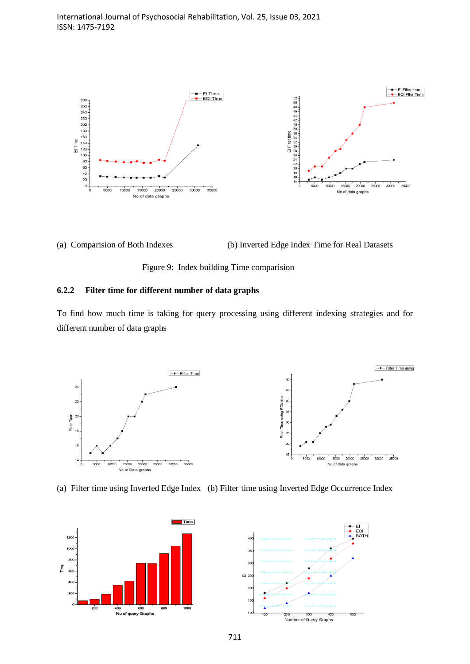

(a) Comparision of Both Indexes (b) Inverted Edge Index Time for Real Datasets



#### **6.2.2 Filter time for different number of data graphs**

To find how much time is taking for query processing using different indexing strategies and for different number of data graphs







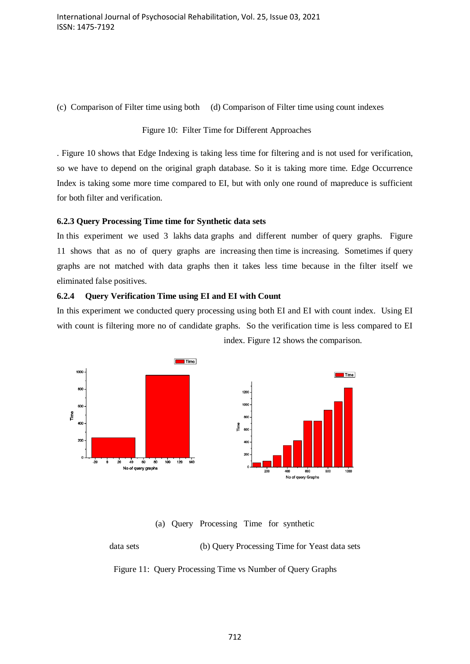(c) Comparison of Filter time using both (d) Comparison of Filter time using count indexes

#### Figure 10: Filter Time for Different Approaches

. Figure 10 shows that Edge Indexing is taking less time for filtering and is not used for verification, so we have to depend on the original graph database. So it is taking more time. Edge Occurrence Index is taking some more time compared to EI, but with only one round of mapreduce is sufficient for both filter and verification.

#### **6.2.3 Query Processing Time time for Synthetic data sets**

In this experiment we used 3 lakhs data graphs and different number of query graphs. Figure 11 shows that as no of query graphs are increasing then time is increasing. Sometimes if query graphs are not matched with data graphs then it takes less time because in the filter itself we eliminated false positives.

#### **6.2.4 Query Verification Time using EI and EI with Count**

In this experiment we conducted query processing using both EI and EI with count index. Using EI with count is filtering more no of candidate graphs. So the verification time is less compared to EI index. Figure 12 shows the comparison.



(a) Query Processing Time for synthetic

data sets (b) Query Processing Time for Yeast data sets Figure 11: Query Processing Time vs Number of Query Graphs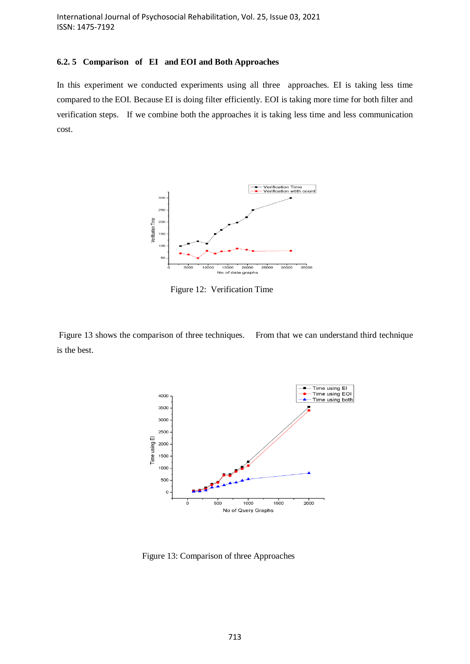#### **6.2. 5 Comparison of EI and EOI and Both Approaches**

In this experiment we conducted experiments using all three approaches. EI is taking less time compared to the EOI. Because EI is doing filter efficiently. EOI is taking more time for both filter and verification steps. If we combine both the approaches it is taking less time and less communication cost.



Figure 12: Verification Time

Figure 13 shows the comparison of three techniques. From that we can understand third technique is the best.



Figure 13: Comparison of three Approaches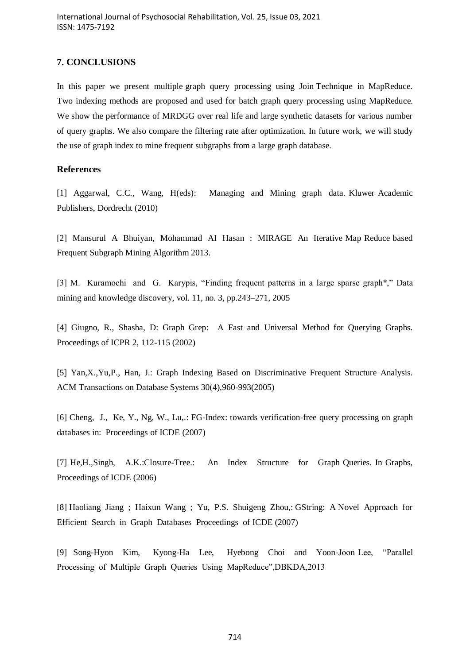# **7. CONCLUSIONS**

In this paper we present multiple graph query processing using Join Technique in MapReduce. Two indexing methods are proposed and used for batch graph query processing using MapReduce. We show the performance of MRDGG over real life and large synthetic datasets for various number of query graphs. We also compare the filtering rate after optimization. In future work, we will study the use of graph index to mine frequent subgraphs from a large graph database.

# **References**

[1] Aggarwal, C.C., Wang, H(eds): Managing and Mining graph data. Kluwer Academic Publishers, Dordrecht (2010)

[2] Mansurul A Bhuiyan, Mohammad AI Hasan : MIRAGE An Iterative Map Reduce based Frequent Subgraph Mining Algorithm 2013.

[3] M. Kuramochi and G. Karypis, "Finding frequent patterns in a large sparse graph\*," Data mining and knowledge discovery, vol. 11, no. 3, pp.243–271, 2005

[4] Giugno, R., Shasha, D: Graph Grep: A Fast and Universal Method for Querying Graphs. Proceedings of ICPR 2, 112-115 (2002)

[5] Yan,X.,Yu,P., Han, J.: Graph Indexing Based on Discriminative Frequent Structure Analysis. ACM Transactions on Database Systems 30(4),960-993(2005)

[6] Cheng, J., Ke, Y., Ng, W., Lu,.: FG-Index: towards verification-free query processing on graph databases in: Proceedings of ICDE (2007)

[7] He,H.,Singh, A.K.:Closure-Tree.: An Index Structure for Graph Queries. In Graphs, Proceedings of ICDE (2006)

[8] Haoliang Jiang ; Haixun Wang ; Yu, P.S. Shuigeng Zhou,: GString: A Novel Approach for Efficient Search in Graph Databases Proceedings of ICDE (2007)

[9] Song-Hyon Kim, Kyong-Ha Lee, Hyebong Choi and Yoon-Joon Lee, "Parallel Processing of Multiple Graph Queries Using MapReduce",DBKDA,2013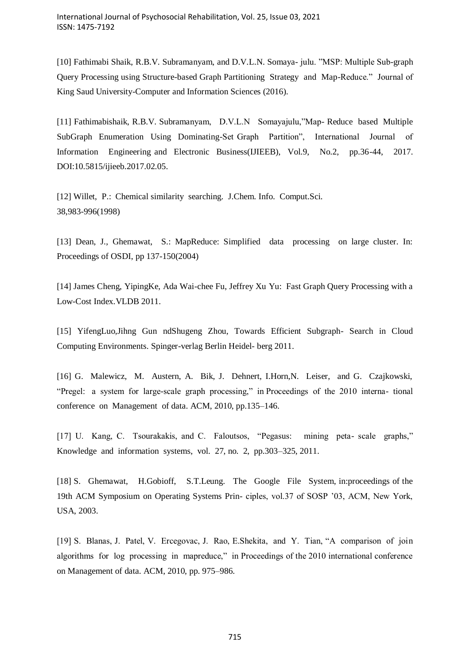[10] Fathimabi Shaik, R.B.V. Subramanyam, and D.V.L.N. Somaya- julu. "MSP: Multiple Sub-graph Query Processing using Structure-based Graph Partitioning Strategy and Map-Reduce." Journal of King Saud University-Computer and Information Sciences (2016).

[11] Fathimabishaik, R.B.V. Subramanyam, D.V.L.N Somayajulu,"Map- Reduce based Multiple SubGraph Enumeration Using Dominating-Set Graph Partition", International Journal of Information Engineering and Electronic Business(IJIEEB), Vol.9, No.2, pp.36-44, 2017. DOI:10.5815/ijieeb.2017.02.05.

[12] Willet, P.: Chemical similarity searching. J.Chem. Info. Comput.Sci. 38,983-996(1998)

[13] Dean, J., Ghemawat, S.: MapReduce: Simplified data processing on large cluster. In: Proceedings of OSDI, pp 137-150(2004)

[14] James Cheng, YipingKe, Ada Wai-chee Fu, Jeffrey Xu Yu: Fast Graph Query Processing with a Low-Cost Index.VLDB 2011.

[15] YifengLuo,Jihng Gun ndShugeng Zhou, Towards Efficient Subgraph- Search in Cloud Computing Environments. Spinger-verlag Berlin Heidel- berg 2011.

[16] G. Malewicz, M. Austern, A. Bik, J. Dehnert, I.Horn,N. Leiser, and G. Czajkowski, "Pregel: a system for large-scale graph processing," in Proceedings of the 2010 interna- tional conference on Management of data. ACM, 2010, pp.135–146.

[17] U. Kang, C. Tsourakakis, and C. Faloutsos, "Pegasus: mining peta- scale graphs," Knowledge and information systems, vol. 27, no. 2, pp.303–325, 2011.

[18] S. Ghemawat, H.Gobioff, S.T.Leung. The Google File System, in:proceedings of the 19th ACM Symposium on Operating Systems Prin- ciples, vol.37 of SOSP '03, ACM, New York, USA, 2003.

[19] S. Blanas, J. Patel, V. Ercegovac, J. Rao, E.Shekita, and Y. Tian, "A comparison of join algorithms for log processing in mapreduce," in Proceedings of the 2010 international conference on Management of data. ACM, 2010, pp. 975–986.